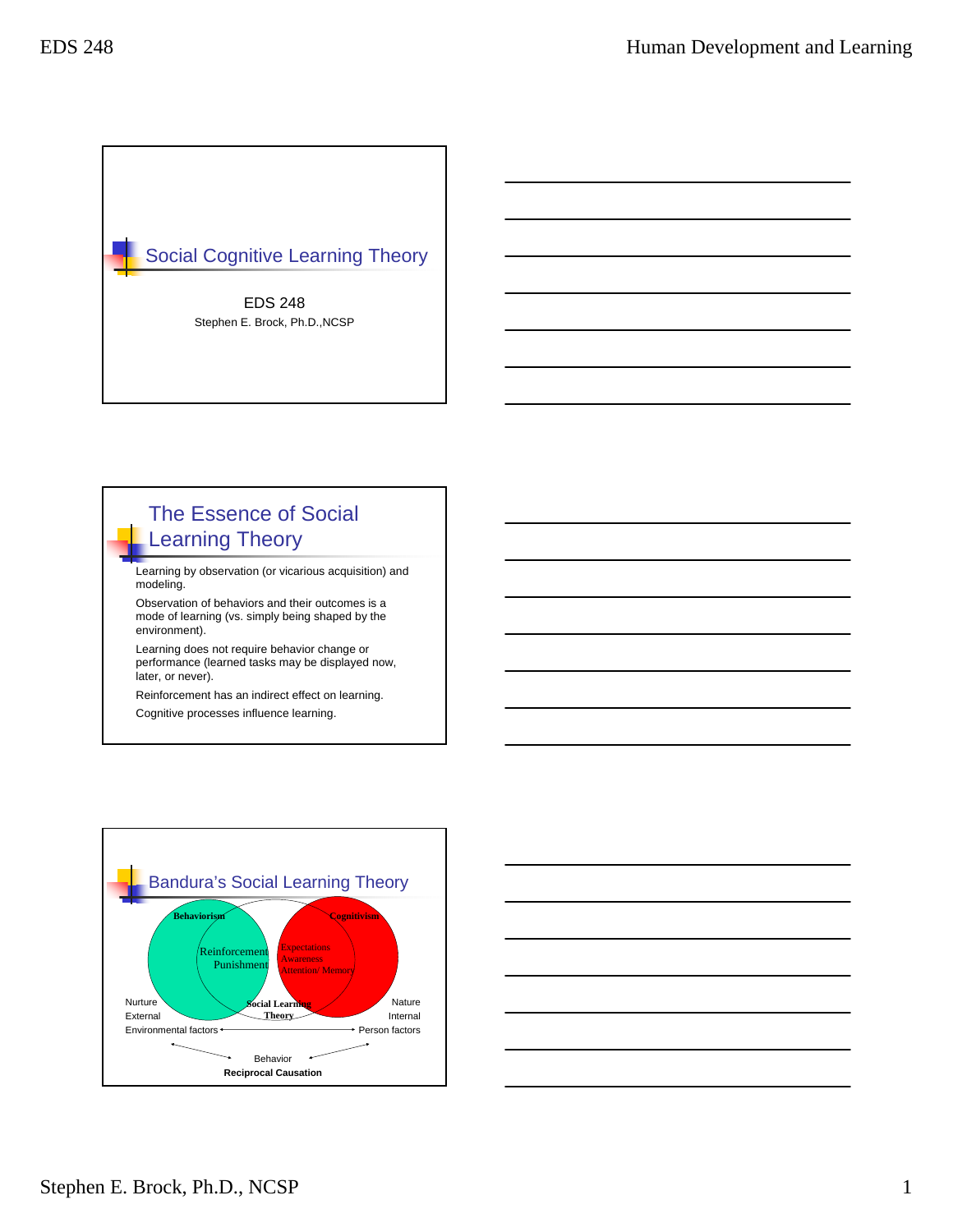

# The Essence of Social Learning Theory

Learning by observation (or vicarious acquisition) and modeling.

Observation of behaviors and their outcomes is a mode of learning (vs. simply being shaped by the environment).

Learning does not require behavior change or performance (learned tasks may be displayed now, later, or never).

Reinforcement has an indirect effect on learning.

Cognitive processes influence learning.



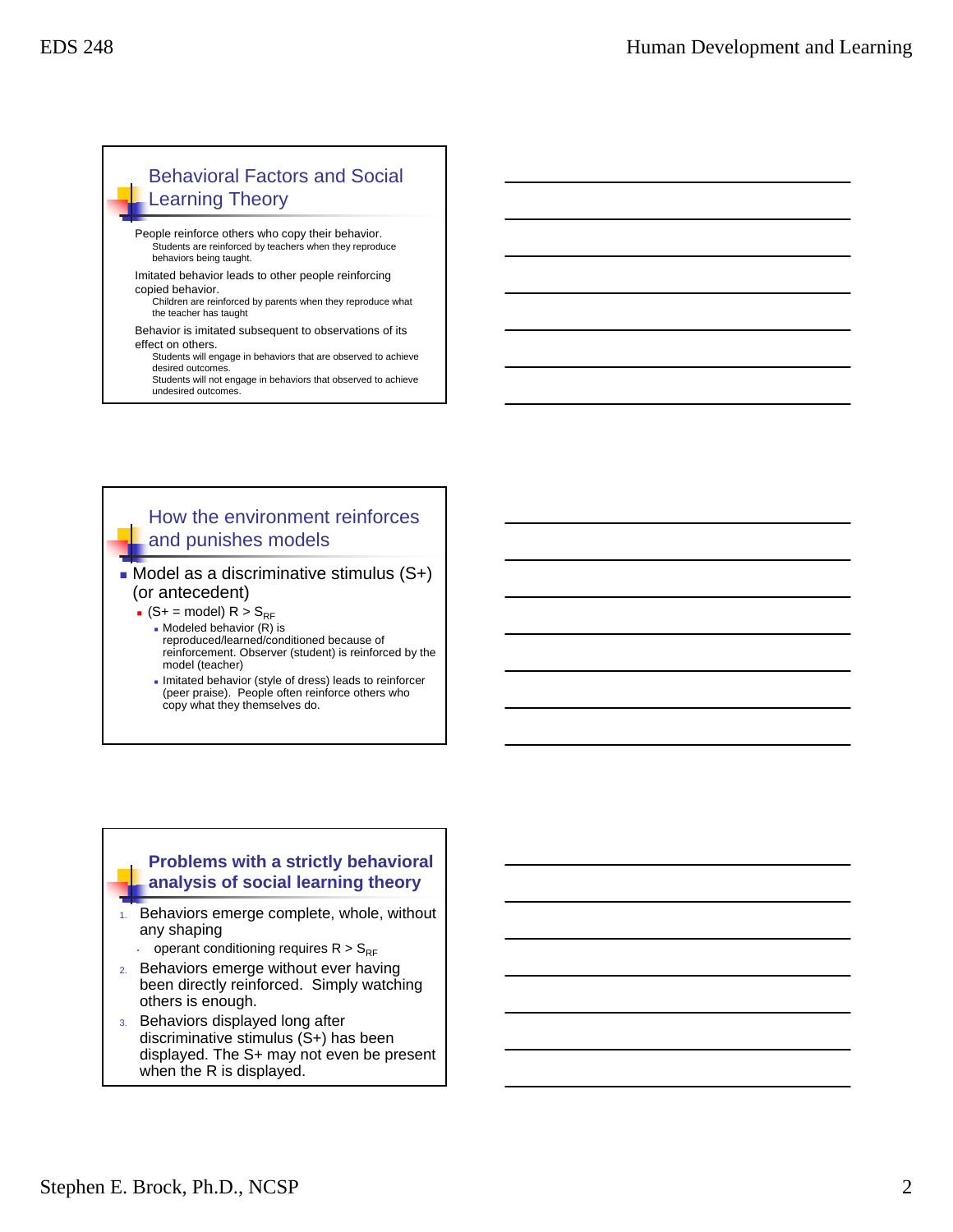### Behavioral Factors and Social Learning Theory

- People reinforce others who copy their behavior. Students are reinforced by teachers when they reproduce behaviors being taught.
- Imitated behavior leads to other people reinforcing copied behavior.
- Children are reinforced by parents when they reproduce what the teacher has taught
- Behavior is imitated subsequent to observations of its effect on others.
	- Students will engage in behaviors that are observed to achieve desired outcomes.
	- Students will not engage in behaviors that observed to achieve undesired outcomes.

### How the environment reinforces and punishes models

#### $\blacksquare$  Model as a discriminative stimulus  $(S+)$ (or antecedent)

 $\bullet$  (S+ = model) R > S<sub>RF</sub>

- $M$ odeled behavior  $(R)$  is reproduced/learned/conditioned because of reinforcement. Observer (student) is reinforced by the model (teacher)
- Imitated behavior (style of dress) leads to reinforcer (peer praise). People often reinforce others who copy what they themselves do.

#### **Problems with a strictly behavioral analysis of social learning theory**

- 1. Behaviors emerge complete, whole, without any shaping
	- operant conditioning requires  $R > S_{RF}$
- 2. Behaviors emerge without ever having been directly reinforced. Simply watching others is enough.
- 3. Behaviors displayed long after discriminative stimulus (S+) has been displayed. The S+ may not even be present when the R is displayed.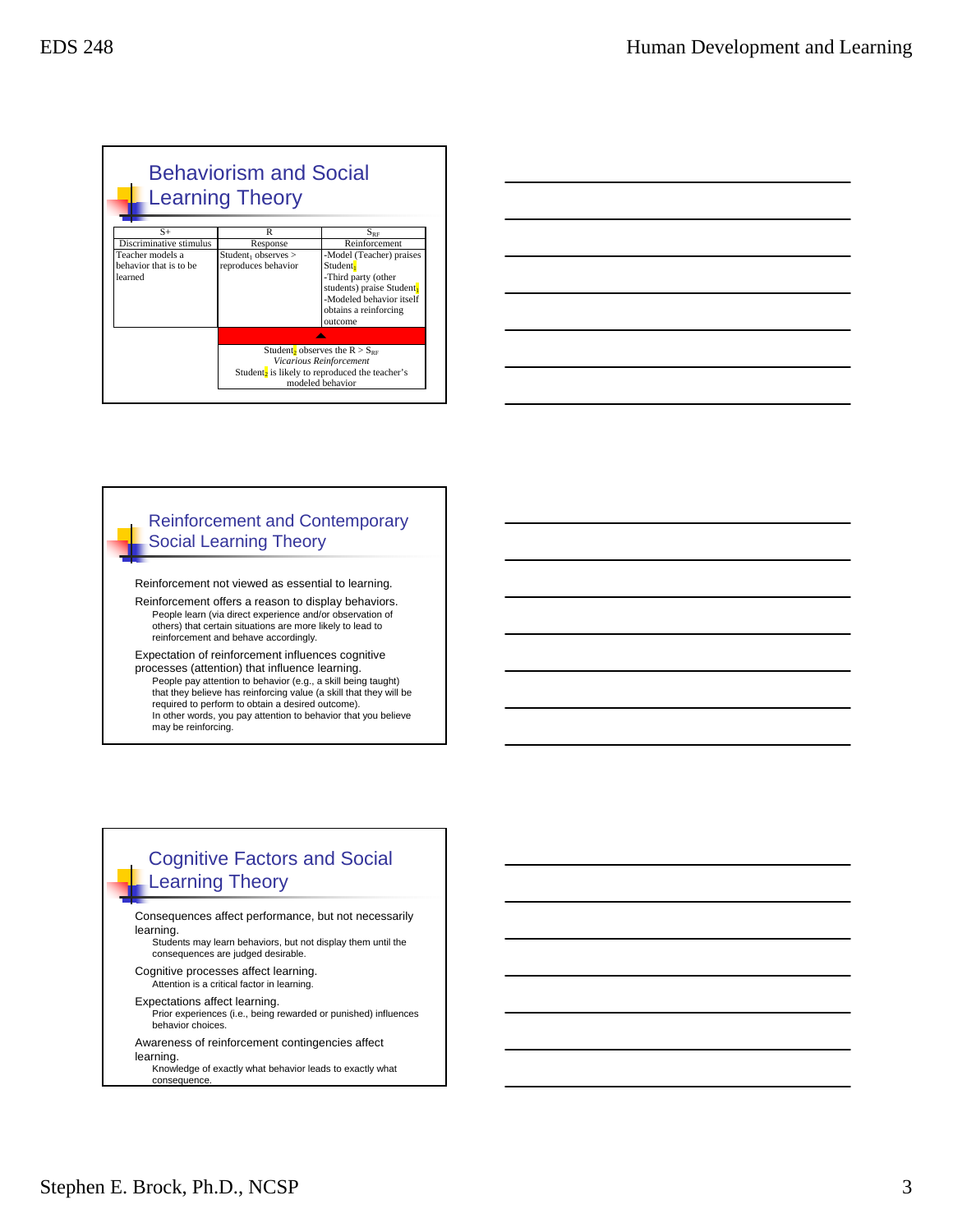|                         | <b>Behaviorism and Social</b><br><b>Learning Theory</b>    |                                                |  |  |
|-------------------------|------------------------------------------------------------|------------------------------------------------|--|--|
| $S+$                    | R                                                          | $S_{\rm RF}$                                   |  |  |
| Discriminative stimulus | Response                                                   | Reinforcement                                  |  |  |
| Teacher models a        | $Student_1$ observes $>$                                   | -Model (Teacher) praises                       |  |  |
| behavior that is to be  | reproduces behavior                                        | Student <mark>,</mark>                         |  |  |
| learned                 |                                                            | -Third party (other                            |  |  |
|                         |                                                            | students) praise Student                       |  |  |
|                         |                                                            | -Modeled behavior itself                       |  |  |
|                         |                                                            | obtains a reinforcing                          |  |  |
|                         |                                                            | outcome                                        |  |  |
|                         |                                                            |                                                |  |  |
|                         |                                                            | Student <sub>2</sub> observes the $R > S_{RF}$ |  |  |
|                         | Vicarious Reinforcement                                    |                                                |  |  |
|                         | Student <sub>2</sub> is likely to reproduced the teacher's |                                                |  |  |
|                         | modeled behavior                                           |                                                |  |  |
|                         |                                                            |                                                |  |  |

| <u> 1989 - Johann Stoff, amerikansk politiker (d. 1989)</u> |  |  |  |
|-------------------------------------------------------------|--|--|--|
| <u> 1989 - Andrea Andrew Maria (h. 1989).</u>               |  |  |  |
|                                                             |  |  |  |
|                                                             |  |  |  |
| <u> 1989 - Andrea Andrew Maria (h. 1989).</u>               |  |  |  |

#### Reinforcement and Contemporary Social Learning Theory

Reinforcement not viewed as essential to learning.

Reinforcement offers a reason to display behaviors. People learn (via direct experience and/or observation of others) that certain situations are more likely to lead to reinforcement and behave accordingly.

Expectation of reinforcement influences cognitive processes (attention) that influence learning. People pay attention to behavior (e.g., a skill being taught) that they believe has reinforcing value (a skill that they will be required to perform to obtain a desired outcome). In other words, you pay attention to behavior that you believe may be reinforcing.

## Cognitive Factors and Social Learning Theory

Consequences affect performance, but not necessarily learning.

Students may learn behaviors, but not display them until the consequences are judged desirable.

- Cognitive processes affect learning. Attention is a critical factor in learning.
- Expectations affect learning.
- Prior experiences (i.e., being rewarded or punished) influences behavior choices.
- Awareness of reinforcement contingencies affect
- learning. Knowledge of exactly what behavior leads to exactly what

consequence.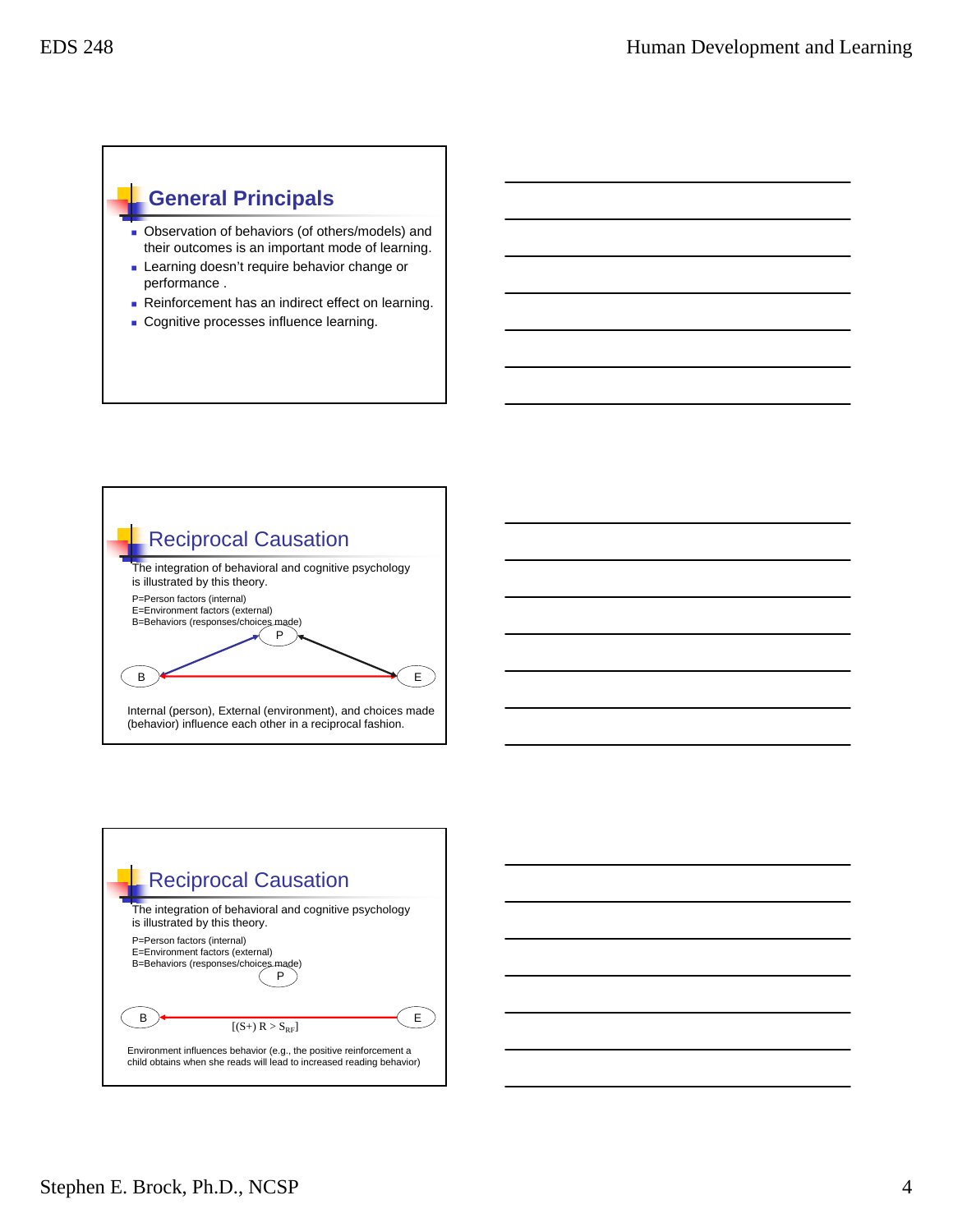## **General Principals**

- Observation of behaviors (of others/models) and their outcomes is an important mode of learning.
- **Learning doesn't require behavior change or** performance .
- Reinforcement has an indirect effect on learning.
- **Cognitive processes influence learning.**





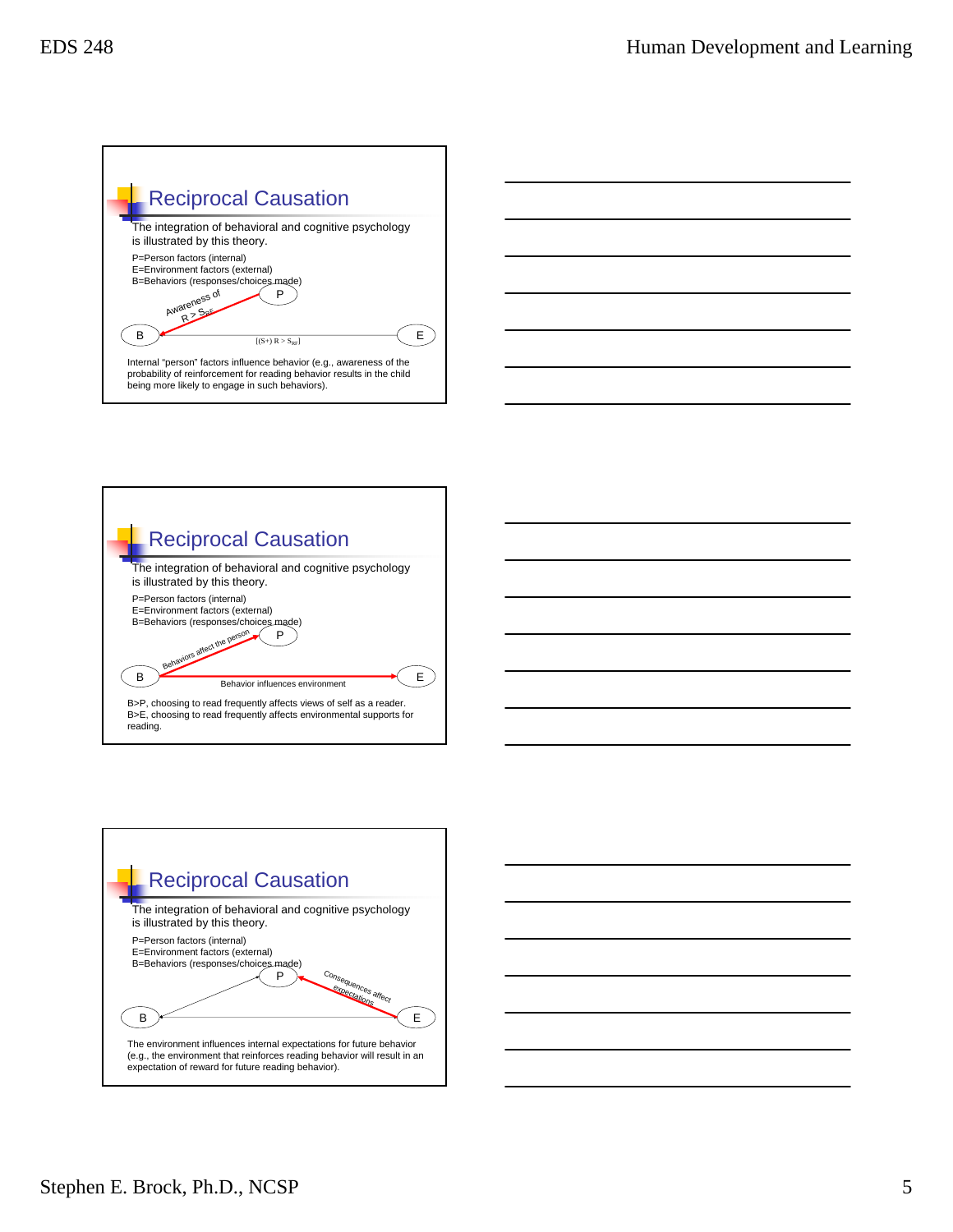







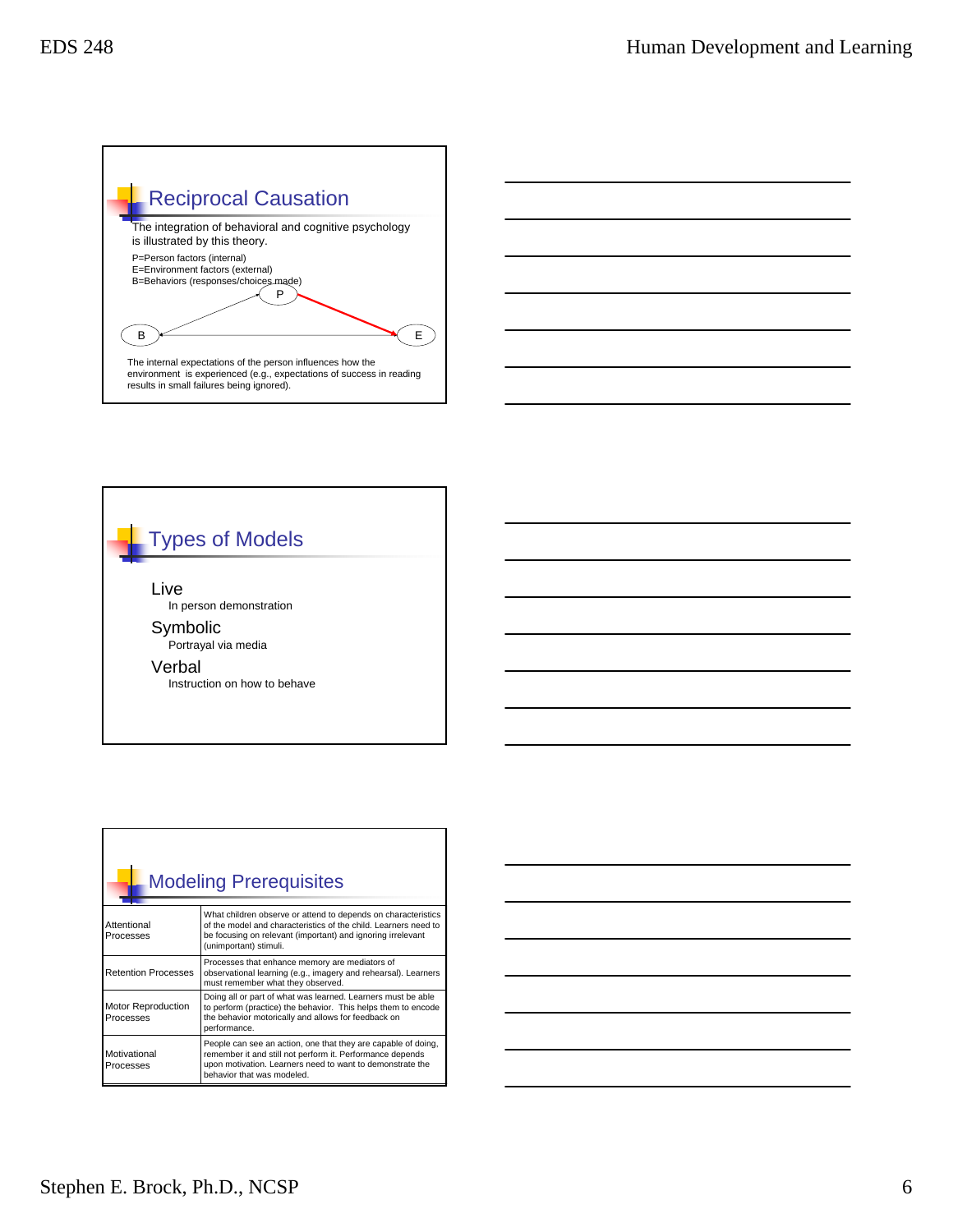



| <b>Modeling Prerequisites</b>          |                                                                                                                                                                                                                           |  |  |  |
|----------------------------------------|---------------------------------------------------------------------------------------------------------------------------------------------------------------------------------------------------------------------------|--|--|--|
| Attentional<br>Processes               | What children observe or attend to depends on characteristics<br>of the model and characteristics of the child. Learners need to<br>be focusing on relevant (important) and ignoring irrelevant<br>(unimportant) stimuli. |  |  |  |
| <b>Retention Processes</b>             | Processes that enhance memory are mediators of<br>observational learning (e.g., imagery and rehearsal). Learners<br>must remember what they observed.                                                                     |  |  |  |
| <b>Motor Reproduction</b><br>Processes | Doing all or part of what was learned. Learners must be able<br>to perform (practice) the behavior. This helps them to encode<br>the behavior motorically and allows for feedback on<br>performance.                      |  |  |  |
| Motivational<br>Processes              | People can see an action, one that they are capable of doing,<br>remember it and still not perform it. Performance depends<br>upon motivation. Learners need to want to demonstrate the<br>behavior that was modeled.     |  |  |  |



Г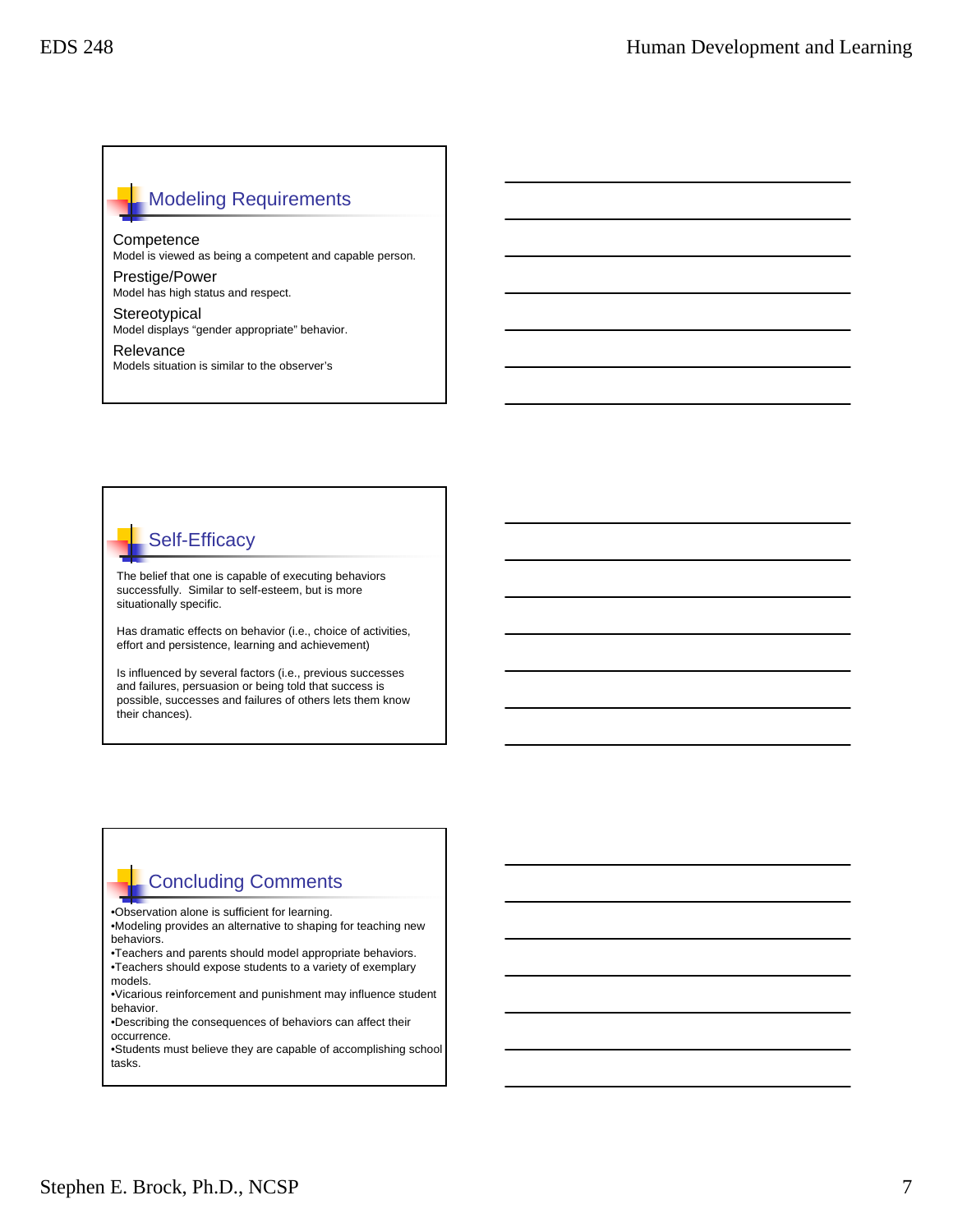### Modeling Requirements

**Competence** 

Model is viewed as being a competent and capable person.

Prestige/Power Model has high status and respect.

**Stereotypical** Model displays "gender appropriate" behavior.

Relevance Models situation is similar to the observer's



The belief that one is capable of executing behaviors successfully. Similar to self-esteem, but is more situationally specific.

Has dramatic effects on behavior (i.e., choice of activities, effort and persistence, learning and achievement)

Is influenced by several factors (i.e., previous successes and failures, persuasion or being told that success is possible, successes and failures of others lets them know their chances).

### Concluding Comments

•Observation alone is sufficient for learning.

•Modeling provides an alternative to shaping for teaching new behaviors.

•Teachers and parents should model appropriate behaviors. •Teachers should expose students to a variety of exemplary models.

•Vicarious reinforcement and punishment may influence student behavior.

•Describing the consequences of behaviors can affect their occurrence.

•Students must believe they are capable of accomplishing school tasks.